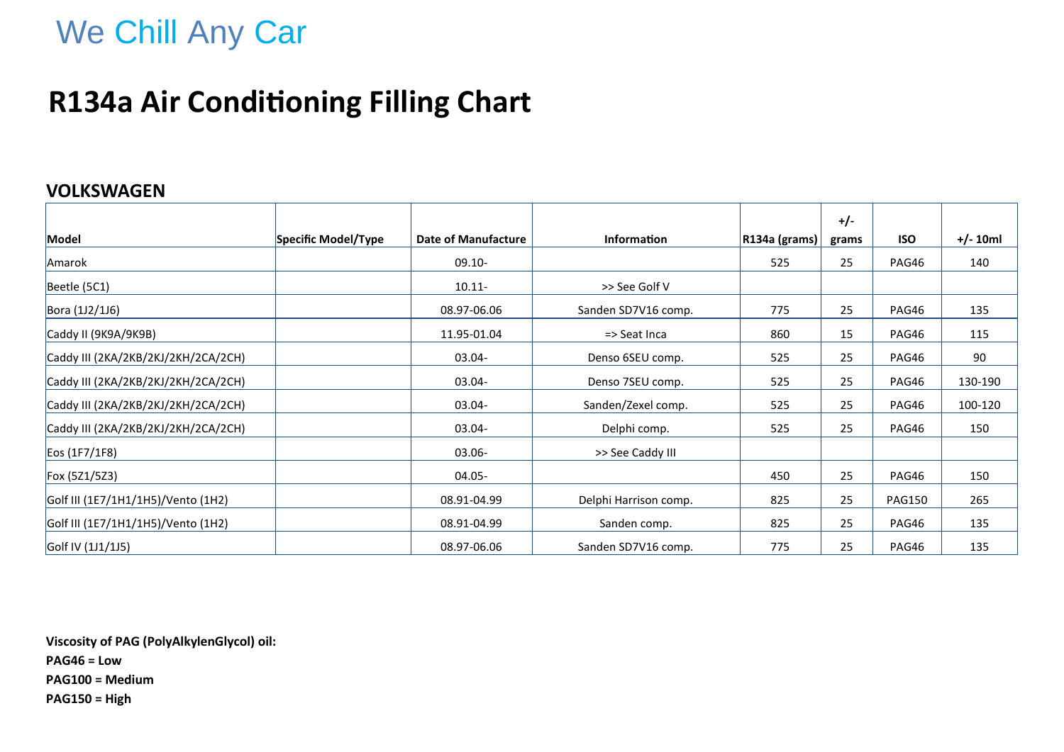## **R134a Air Conditioning Filling Chart**

#### **VOLKSWAGEN**

|                                     |                     |                     |                       |               | $+/-$ |               |            |
|-------------------------------------|---------------------|---------------------|-----------------------|---------------|-------|---------------|------------|
| Model                               | Specific Model/Type | Date of Manufacture | <b>Information</b>    | R134a (grams) | grams | <b>ISO</b>    | $+/- 10ml$ |
| Amarok                              |                     | $09.10 -$           |                       | 525           | 25    | PAG46         | 140        |
| Beetle (5C1)                        |                     | $10.11 -$           | >> See Golf V         |               |       |               |            |
| Bora (1J2/1J6)                      |                     | 08.97-06.06         | Sanden SD7V16 comp.   | 775           | 25    | PAG46         | 135        |
| Caddy II (9K9A/9K9B)                |                     | 11.95-01.04         | => Seat Inca          | 860           | 15    | PAG46         | 115        |
| Caddy III (2KA/2KB/2KJ/2KH/2CA/2CH) |                     | $03.04 -$           | Denso 6SEU comp.      | 525           | 25    | PAG46         | 90         |
| Caddy III (2KA/2KB/2KJ/2KH/2CA/2CH) |                     | 03.04-              | Denso 7SEU comp.      | 525           | 25    | PAG46         | 130-190    |
| Caddy III (2KA/2KB/2KJ/2KH/2CA/2CH) |                     | 03.04-              | Sanden/Zexel comp.    | 525           | 25    | PAG46         | 100-120    |
| Caddy III (2KA/2KB/2KJ/2KH/2CA/2CH) |                     | 03.04-              | Delphi comp.          | 525           | 25    | PAG46         | 150        |
| Eos (1F7/1F8)                       |                     | $03.06 -$           | >> See Caddy III      |               |       |               |            |
| Fox (5Z1/5Z3)                       |                     | 04.05-              |                       | 450           | 25    | PAG46         | 150        |
| Golf III (1E7/1H1/1H5)/Vento (1H2)  |                     | 08.91-04.99         | Delphi Harrison comp. | 825           | 25    | <b>PAG150</b> | 265        |
| Golf III (1E7/1H1/1H5)/Vento (1H2)  |                     | 08.91-04.99         | Sanden comp.          | 825           | 25    | PAG46         | 135        |
| Golf IV (1J1/1J5)                   |                     | 08.97-06.06         | Sanden SD7V16 comp.   | 775           | 25    | PAG46         | 135        |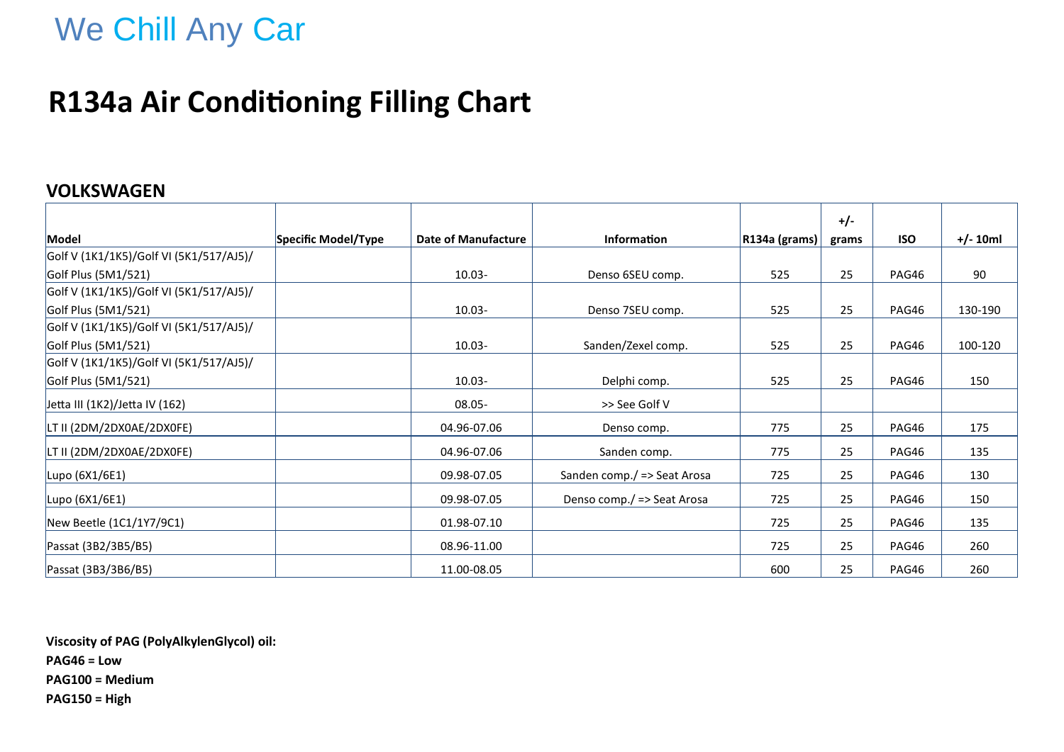## **R134a Air Conditioning Filling Chart**

#### **VOLKSWAGEN**

|                                         |                     |                     |                             |                      | $+/-$ |            |            |
|-----------------------------------------|---------------------|---------------------|-----------------------------|----------------------|-------|------------|------------|
| Model                                   | Specific Model/Type | Date of Manufacture | <b>Information</b>          | $ R134a$ (grams) $ $ | grams | <b>ISO</b> | $+/- 10ml$ |
| Golf V (1K1/1K5)/Golf VI (5K1/517/AJ5)/ |                     |                     |                             |                      |       |            |            |
| Golf Plus (5M1/521)                     |                     | $10.03 -$           | Denso 6SEU comp.            | 525                  | 25    | PAG46      | 90         |
| Golf V (1K1/1K5)/Golf VI (5K1/517/AJ5)/ |                     |                     |                             |                      |       |            |            |
| Golf Plus (5M1/521)                     |                     | $10.03 -$           | Denso 7SEU comp.            | 525                  | 25    | PAG46      | 130-190    |
| Golf V (1K1/1K5)/Golf VI (5K1/517/AJ5)/ |                     |                     |                             |                      |       |            |            |
| Golf Plus (5M1/521)                     |                     | $10.03 -$           | Sanden/Zexel comp.          | 525                  | 25    | PAG46      | 100-120    |
| Golf V (1K1/1K5)/Golf VI (5K1/517/AJ5)/ |                     |                     |                             |                      |       |            |            |
| Golf Plus (5M1/521)                     |                     | $10.03 -$           | Delphi comp.                | 525                  | 25    | PAG46      | 150        |
| Jetta III (1K2)/Jetta IV (162)          |                     | 08.05-              | >> See Golf V               |                      |       |            |            |
| LT II (2DM/2DX0AE/2DX0FE)               |                     | 04.96-07.06         | Denso comp.                 | 775                  | 25    | PAG46      | 175        |
| LT II (2DM/2DX0AE/2DX0FE)               |                     | 04.96-07.06         | Sanden comp.                | 775                  | 25    | PAG46      | 135        |
| Lupo (6X1/6E1)                          |                     | 09.98-07.05         | Sanden comp./ => Seat Arosa | 725                  | 25    | PAG46      | 130        |
| Lupo (6X1/6E1)                          |                     | 09.98-07.05         | Denso comp./ => Seat Arosa  | 725                  | 25    | PAG46      | 150        |
| New Beetle (1C1/1Y7/9C1)                |                     | 01.98-07.10         |                             | 725                  | 25    | PAG46      | 135        |
| Passat (3B2/3B5/B5)                     |                     | 08.96-11.00         |                             | 725                  | 25    | PAG46      | 260        |
| Passat (3B3/3B6/B5)                     |                     | 11.00-08.05         |                             | 600                  | 25    | PAG46      | 260        |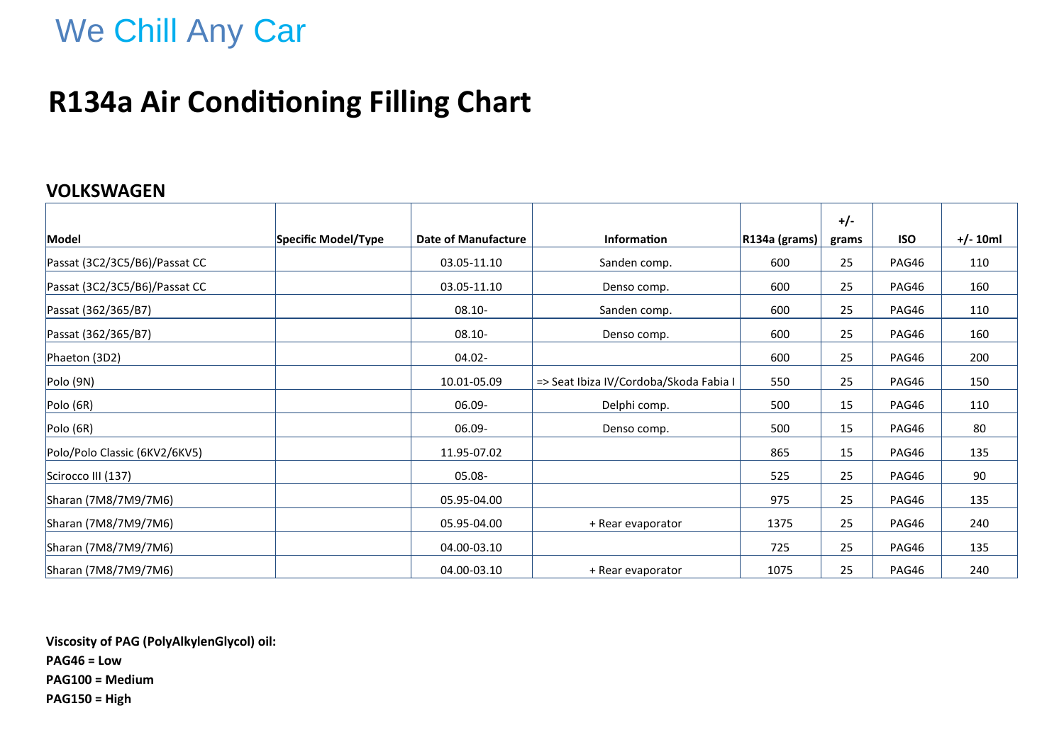### **R134a Air Conditioning Filling Chart**

#### **VOLKSWAGEN**

|                               |                     |                            |                                        |               | $+/-$ |            |            |
|-------------------------------|---------------------|----------------------------|----------------------------------------|---------------|-------|------------|------------|
| Model                         | Specific Model/Type | <b>Date of Manufacture</b> | Information                            | R134a (grams) | grams | <b>ISO</b> | $+/- 10ml$ |
| Passat (3C2/3C5/B6)/Passat CC |                     | 03.05-11.10                | Sanden comp.                           | 600           | 25    | PAG46      | 110        |
| Passat (3C2/3C5/B6)/Passat CC |                     | 03.05-11.10                | Denso comp.                            | 600           | 25    | PAG46      | 160        |
| Passat (362/365/B7)           |                     | $08.10 -$                  | Sanden comp.                           | 600           | 25    | PAG46      | 110        |
| Passat (362/365/B7)           |                     | $08.10 -$                  | Denso comp.                            | 600           | 25    | PAG46      | 160        |
| Phaeton (3D2)                 |                     | 04.02-                     |                                        | 600           | 25    | PAG46      | 200        |
| Polo (9N)                     |                     | 10.01-05.09                | => Seat Ibiza IV/Cordoba/Skoda Fabia I | 550           | 25    | PAG46      | 150        |
| Polo (6R)                     |                     | 06.09-                     | Delphi comp.                           | 500           | 15    | PAG46      | 110        |
| Polo (6R)                     |                     | 06.09-                     | Denso comp.                            | 500           | 15    | PAG46      | 80         |
| Polo/Polo Classic (6KV2/6KV5) |                     | 11.95-07.02                |                                        | 865           | 15    | PAG46      | 135        |
| Scirocco III (137)            |                     | 05.08-                     |                                        | 525           | 25    | PAG46      | 90         |
| Sharan (7M8/7M9/7M6)          |                     | 05.95-04.00                |                                        | 975           | 25    | PAG46      | 135        |
| Sharan (7M8/7M9/7M6)          |                     | 05.95-04.00                | + Rear evaporator                      | 1375          | 25    | PAG46      | 240        |
| Sharan (7M8/7M9/7M6)          |                     | 04.00-03.10                |                                        | 725           | 25    | PAG46      | 135        |
| Sharan (7M8/7M9/7M6)          |                     | 04.00-03.10                | + Rear evaporator                      | 1075          | 25    | PAG46      | 240        |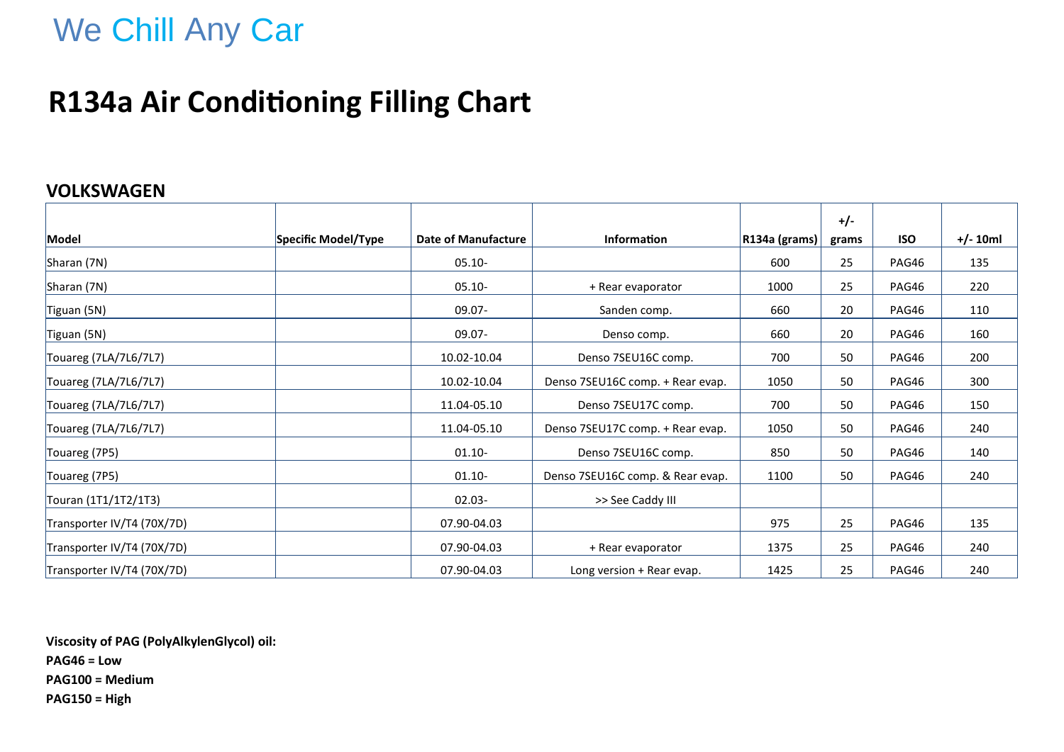## **R134a Air Conditioning Filling Chart**

#### **VOLKSWAGEN**

|                            |                     |                     |                                  |               | $+/-$ |            |            |
|----------------------------|---------------------|---------------------|----------------------------------|---------------|-------|------------|------------|
| Model                      | Specific Model/Type | Date of Manufacture | <b>Information</b>               | R134a (grams) | grams | <b>ISO</b> | $+/- 10ml$ |
| Sharan (7N)                |                     | $05.10 -$           |                                  | 600           | 25    | PAG46      | 135        |
| Sharan (7N)                |                     | 05.10-              | + Rear evaporator                | 1000          | 25    | PAG46      | 220        |
| Tiguan (5N)                |                     | $09.07 -$           | Sanden comp.                     | 660           | 20    | PAG46      | 110        |
| Tiguan (5N)                |                     | $09.07 -$           | Denso comp.                      | 660           | 20    | PAG46      | 160        |
| Touareg (7LA/7L6/7L7)      |                     | 10.02-10.04         | Denso 7SEU16C comp.              | 700           | 50    | PAG46      | 200        |
| Touareg (7LA/7L6/7L7)      |                     | 10.02-10.04         | Denso 7SEU16C comp. + Rear evap. | 1050          | 50    | PAG46      | 300        |
| Touareg (7LA/7L6/7L7)      |                     | 11.04-05.10         | Denso 7SEU17C comp.              | 700           | 50    | PAG46      | 150        |
| Touareg (7LA/7L6/7L7)      |                     | 11.04-05.10         | Denso 7SEU17C comp. + Rear evap. | 1050          | 50    | PAG46      | 240        |
| Touareg (7P5)              |                     | $01.10 -$           | Denso 7SEU16C comp.              | 850           | 50    | PAG46      | 140        |
| Touareg (7P5)              |                     | $01.10 -$           | Denso 7SEU16C comp. & Rear evap. | 1100          | 50    | PAG46      | 240        |
| Touran (1T1/1T2/1T3)       |                     | $02.03 -$           | >> See Caddy III                 |               |       |            |            |
| Transporter IV/T4 (70X/7D) |                     | 07.90-04.03         |                                  | 975           | 25    | PAG46      | 135        |
| Transporter IV/T4 (70X/7D) |                     | 07.90-04.03         | + Rear evaporator                | 1375          | 25    | PAG46      | 240        |
| Transporter IV/T4 (70X/7D) |                     | 07.90-04.03         | Long version + Rear evap.        | 1425          | 25    | PAG46      | 240        |